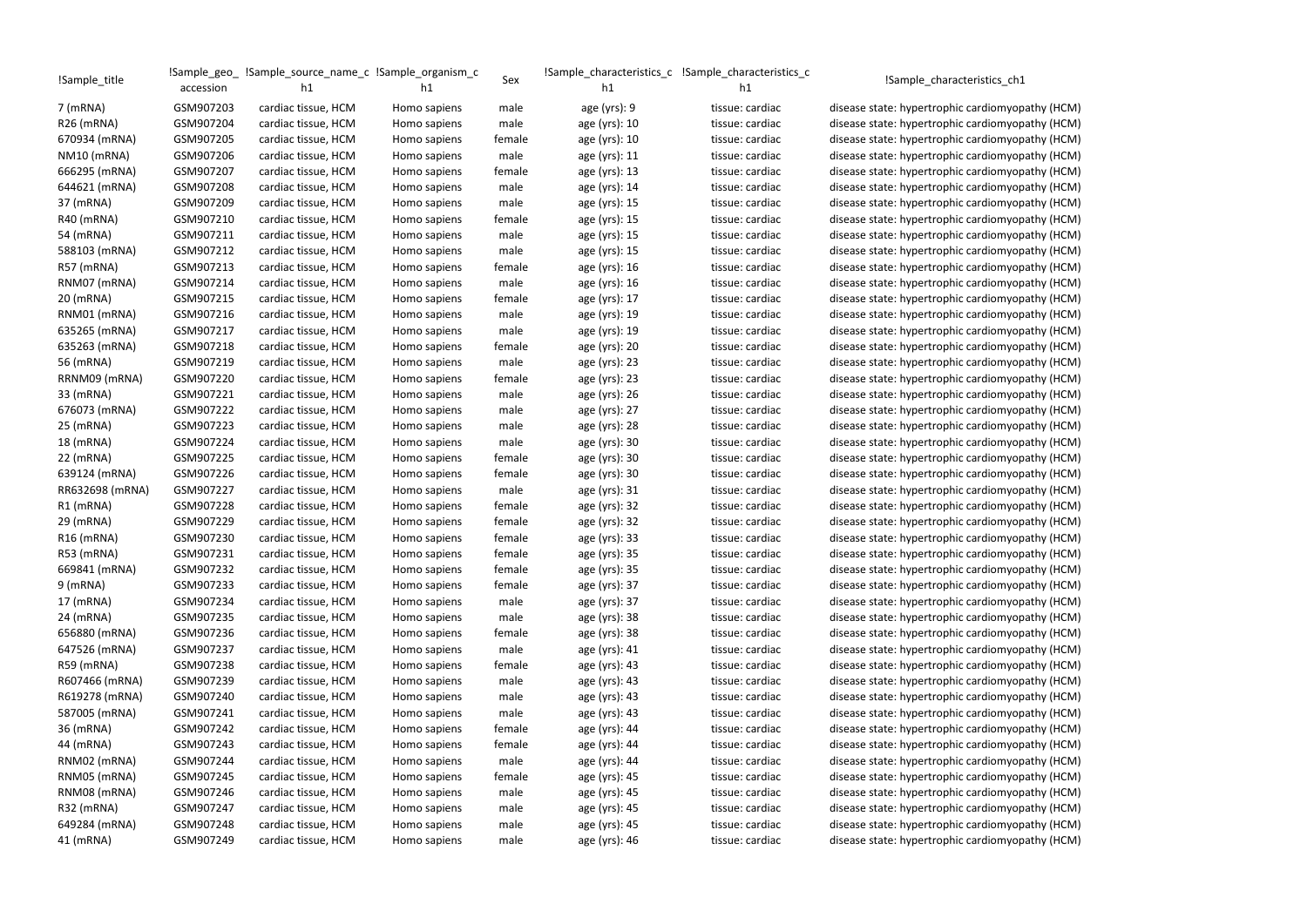| !Sample_title          |           | !Sample_geo_ !Sample_source_name_c !Sample_organism_c |              |        |                 |                 |                                                  |
|------------------------|-----------|-------------------------------------------------------|--------------|--------|-----------------|-----------------|--------------------------------------------------|
|                        | accession | h1                                                    | h1           | Sex    | h1              | h1              | !Sample_characteristics_ch1                      |
| $7$ (mRNA)             | GSM907203 | cardiac tissue, HCM                                   | Homo sapiens | male   | age $(yrs)$ : 9 | tissue: cardiac | disease state: hypertrophic cardiomyopathy (HCM) |
| R <sub>26</sub> (mRNA) | GSM907204 | cardiac tissue, HCM                                   | Homo sapiens | male   | age (yrs): 10   | tissue: cardiac | disease state: hypertrophic cardiomyopathy (HCM) |
| 670934 (mRNA)          | GSM907205 | cardiac tissue, HCM                                   | Homo sapiens | female | age (yrs): 10   | tissue: cardiac | disease state: hypertrophic cardiomyopathy (HCM) |
| NM10 (mRNA)            | GSM907206 | cardiac tissue, HCM                                   | Homo sapiens | male   | age (yrs): 11   | tissue: cardiac | disease state: hypertrophic cardiomyopathy (HCM) |
| 666295 (mRNA)          | GSM907207 | cardiac tissue, HCM                                   | Homo sapiens | female | age (yrs): 13   | tissue: cardiac | disease state: hypertrophic cardiomyopathy (HCM) |
| 644621 (mRNA)          | GSM907208 | cardiac tissue, HCM                                   | Homo sapiens | male   | age (yrs): 14   | tissue: cardiac | disease state: hypertrophic cardiomyopathy (HCM) |
| 37 (mRNA)              | GSM907209 | cardiac tissue, HCM                                   | Homo sapiens | male   | age (yrs): 15   | tissue: cardiac | disease state: hypertrophic cardiomyopathy (HCM) |
| R40 (mRNA)             | GSM907210 | cardiac tissue, HCM                                   | Homo sapiens | female | age (yrs): 15   | tissue: cardiac | disease state: hypertrophic cardiomyopathy (HCM) |
| 54 (mRNA)              | GSM907211 | cardiac tissue, HCM                                   | Homo sapiens | male   | age (yrs): 15   | tissue: cardiac | disease state: hypertrophic cardiomyopathy (HCM) |
| 588103 (mRNA)          | GSM907212 | cardiac tissue, HCM                                   | Homo sapiens | male   | age (yrs): 15   | tissue: cardiac | disease state: hypertrophic cardiomyopathy (HCM) |
| R57 (mRNA)             | GSM907213 | cardiac tissue, HCM                                   | Homo sapiens | female | age (yrs): 16   | tissue: cardiac | disease state: hypertrophic cardiomyopathy (HCM) |
| RNM07 (mRNA)           | GSM907214 | cardiac tissue, HCM                                   | Homo sapiens | male   | age (yrs): 16   | tissue: cardiac | disease state: hypertrophic cardiomyopathy (HCM) |
| 20 (mRNA)              | GSM907215 | cardiac tissue, HCM                                   | Homo sapiens | female | age (yrs): 17   | tissue: cardiac | disease state: hypertrophic cardiomyopathy (HCM) |
| RNM01 (mRNA)           | GSM907216 | cardiac tissue, HCM                                   | Homo sapiens | male   | age (yrs): 19   | tissue: cardiac | disease state: hypertrophic cardiomyopathy (HCM) |
| 635265 (mRNA)          | GSM907217 | cardiac tissue, HCM                                   | Homo sapiens | male   | age (yrs): 19   | tissue: cardiac | disease state: hypertrophic cardiomyopathy (HCM) |
| 635263 (mRNA)          | GSM907218 | cardiac tissue, HCM                                   | Homo sapiens | female | age (yrs): 20   | tissue: cardiac | disease state: hypertrophic cardiomyopathy (HCM) |
| 56 (mRNA)              | GSM907219 | cardiac tissue, HCM                                   | Homo sapiens | male   | age (yrs): 23   | tissue: cardiac | disease state: hypertrophic cardiomyopathy (HCM) |
| RRNM09 (mRNA)          | GSM907220 | cardiac tissue, HCM                                   | Homo sapiens | female | age (yrs): 23   | tissue: cardiac | disease state: hypertrophic cardiomyopathy (HCM) |
| 33 (mRNA)              | GSM907221 | cardiac tissue, HCM                                   | Homo sapiens | male   | age (yrs): 26   | tissue: cardiac | disease state: hypertrophic cardiomyopathy (HCM) |
| 676073 (mRNA)          | GSM907222 | cardiac tissue, HCM                                   | Homo sapiens | male   | age (yrs): 27   | tissue: cardiac | disease state: hypertrophic cardiomyopathy (HCM) |
| 25 (mRNA)              | GSM907223 | cardiac tissue, HCM                                   | Homo sapiens | male   | age (yrs): 28   | tissue: cardiac | disease state: hypertrophic cardiomyopathy (HCM) |
| 18 (mRNA)              | GSM907224 | cardiac tissue, HCM                                   | Homo sapiens | male   | age (yrs): 30   | tissue: cardiac | disease state: hypertrophic cardiomyopathy (HCM) |
| 22 (mRNA)              | GSM907225 | cardiac tissue, HCM                                   | Homo sapiens | female | age (yrs): 30   | tissue: cardiac | disease state: hypertrophic cardiomyopathy (HCM) |
| 639124 (mRNA)          | GSM907226 | cardiac tissue, HCM                                   | Homo sapiens | female | age (yrs): 30   | tissue: cardiac | disease state: hypertrophic cardiomyopathy (HCM) |
| RR632698 (mRNA)        | GSM907227 | cardiac tissue, HCM                                   | Homo sapiens | male   | age (yrs): 31   | tissue: cardiac | disease state: hypertrophic cardiomyopathy (HCM) |
| R1 (mRNA)              | GSM907228 | cardiac tissue, HCM                                   | Homo sapiens | female | age (yrs): 32   | tissue: cardiac | disease state: hypertrophic cardiomyopathy (HCM) |
| 29 (mRNA)              | GSM907229 | cardiac tissue, HCM                                   | Homo sapiens | female | age (yrs): 32   | tissue: cardiac | disease state: hypertrophic cardiomyopathy (HCM) |
| R <sub>16</sub> (mRNA) | GSM907230 | cardiac tissue, HCM                                   | Homo sapiens | female | age (yrs): 33   | tissue: cardiac | disease state: hypertrophic cardiomyopathy (HCM) |
| R53 (mRNA)             | GSM907231 | cardiac tissue, HCM                                   | Homo sapiens | female | age (yrs): 35   | tissue: cardiac | disease state: hypertrophic cardiomyopathy (HCM) |
| 669841 (mRNA)          | GSM907232 | cardiac tissue, HCM                                   | Homo sapiens | female | age (yrs): 35   | tissue: cardiac | disease state: hypertrophic cardiomyopathy (HCM) |
| $9$ (mRNA)             | GSM907233 | cardiac tissue, HCM                                   | Homo sapiens | female | age (yrs): 37   | tissue: cardiac | disease state: hypertrophic cardiomyopathy (HCM) |
| 17 (mRNA)              | GSM907234 | cardiac tissue, HCM                                   | Homo sapiens | male   | age (yrs): 37   | tissue: cardiac | disease state: hypertrophic cardiomyopathy (HCM) |
| 24 (mRNA)              | GSM907235 | cardiac tissue, HCM                                   | Homo sapiens | male   | age (yrs): 38   | tissue: cardiac | disease state: hypertrophic cardiomyopathy (HCM) |
| 656880 (mRNA)          | GSM907236 | cardiac tissue, HCM                                   | Homo sapiens | female | age (yrs): 38   | tissue: cardiac | disease state: hypertrophic cardiomyopathy (HCM) |
| 647526 (mRNA)          | GSM907237 | cardiac tissue, HCM                                   | Homo sapiens | male   | age (yrs): 41   | tissue: cardiac | disease state: hypertrophic cardiomyopathy (HCM) |
| R59 (mRNA)             | GSM907238 | cardiac tissue, HCM                                   | Homo sapiens | female | age (yrs): 43   | tissue: cardiac | disease state: hypertrophic cardiomyopathy (HCM) |
| R607466 (mRNA)         | GSM907239 | cardiac tissue, HCM                                   | Homo sapiens | male   | age (yrs): 43   | tissue: cardiac | disease state: hypertrophic cardiomyopathy (HCM) |
| R619278 (mRNA)         | GSM907240 | cardiac tissue, HCM                                   | Homo sapiens | male   | age (yrs): 43   | tissue: cardiac | disease state: hypertrophic cardiomyopathy (HCM) |
| 587005 (mRNA)          | GSM907241 | cardiac tissue, HCM                                   | Homo sapiens | male   | age (yrs): 43   | tissue: cardiac | disease state: hypertrophic cardiomyopathy (HCM) |
| 36 (mRNA)              | GSM907242 | cardiac tissue, HCM                                   | Homo sapiens | female | age (yrs): 44   | tissue: cardiac | disease state: hypertrophic cardiomyopathy (HCM) |
| 44 (mRNA)              | GSM907243 | cardiac tissue, HCM                                   | Homo sapiens | female | age (yrs): 44   | tissue: cardiac | disease state: hypertrophic cardiomyopathy (HCM) |
| RNM02 (mRNA)           | GSM907244 | cardiac tissue, HCM                                   | Homo sapiens | male   | age (yrs): 44   | tissue: cardiac | disease state: hypertrophic cardiomyopathy (HCM) |
| RNM05 (mRNA)           | GSM907245 | cardiac tissue, HCM                                   | Homo sapiens | female | age (yrs): 45   | tissue: cardiac | disease state: hypertrophic cardiomyopathy (HCM) |
| RNM08 (mRNA)           | GSM907246 | cardiac tissue, HCM                                   | Homo sapiens | male   | age (yrs): 45   | tissue: cardiac | disease state: hypertrophic cardiomyopathy (HCM) |
| R32 (mRNA)             | GSM907247 | cardiac tissue, HCM                                   | Homo sapiens | male   | age (yrs): 45   | tissue: cardiac | disease state: hypertrophic cardiomyopathy (HCM) |
| 649284 (mRNA)          | GSM907248 | cardiac tissue, HCM                                   | Homo sapiens | male   | age (yrs): 45   | tissue: cardiac | disease state: hypertrophic cardiomyopathy (HCM) |
| 41 (mRNA)              | GSM907249 | cardiac tissue, HCM                                   | Homo sapiens | male   | age (yrs): 46   | tissue: cardiac | disease state: hypertrophic cardiomyopathy (HCM) |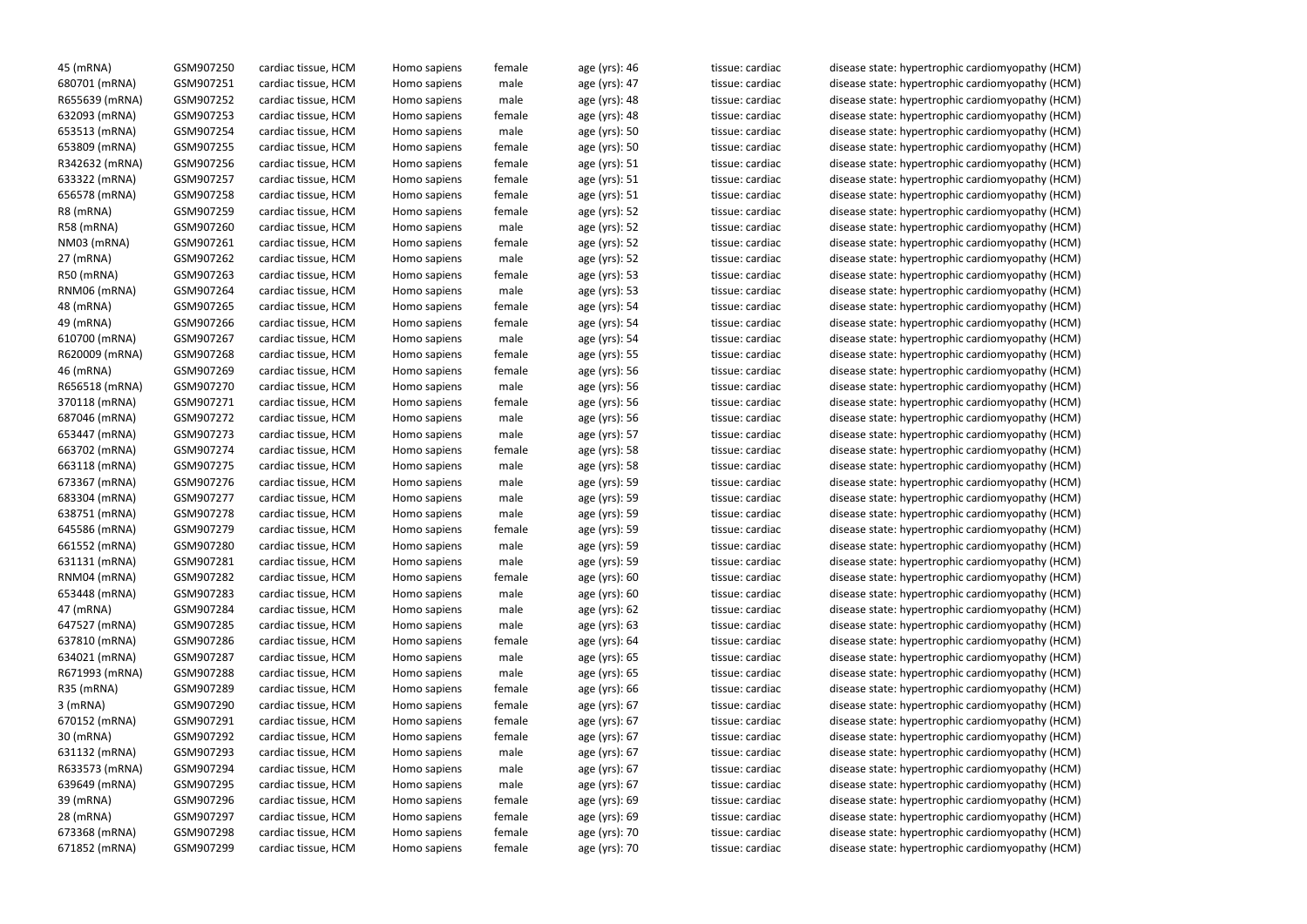| 45 (mRNA)      | GSM907250 | cardiac tissue, HCM | Homo sapiens                 | female | age (yrs): 46 | tissue: cardiac | disease state: hypertrophic cardiomyopathy (HCM) |
|----------------|-----------|---------------------|------------------------------|--------|---------------|-----------------|--------------------------------------------------|
| 680701 (mRNA)  | GSM907251 | cardiac tissue, HCM | Homo sapiens                 | male   | age (yrs): 47 | tissue: cardiac | disease state: hypertrophic cardiomyopathy (HCM) |
| R655639 (mRNA) | GSM907252 | cardiac tissue, HCM | Homo sapiens                 | male   | age (yrs): 48 | tissue: cardiac | disease state: hypertrophic cardiomyopathy (HCM) |
| 632093 (mRNA)  | GSM907253 | cardiac tissue, HCM | Homo sapiens                 | female | age (yrs): 48 | tissue: cardiac | disease state: hypertrophic cardiomyopathy (HCM) |
| 653513 (mRNA)  | GSM907254 | cardiac tissue, HCM | Homo sapiens                 | male   | age (yrs): 50 | tissue: cardiac | disease state: hypertrophic cardiomyopathy (HCM) |
| 653809 (mRNA)  | GSM907255 | cardiac tissue, HCM | Homo sapiens                 | female | age (yrs): 50 | tissue: cardiac | disease state: hypertrophic cardiomyopathy (HCM) |
| R342632 (mRNA) | GSM907256 | cardiac tissue, HCM | Homo sapiens                 | female | age (yrs): 51 | tissue: cardiac | disease state: hypertrophic cardiomyopathy (HCM) |
| 633322 (mRNA)  | GSM907257 | cardiac tissue, HCM | Homo sapiens                 | female | age (yrs): 51 | tissue: cardiac | disease state: hypertrophic cardiomyopathy (HCM) |
| 656578 (mRNA)  | GSM907258 | cardiac tissue, HCM | Homo sapiens                 | female | age (yrs): 51 | tissue: cardiac | disease state: hypertrophic cardiomyopathy (HCM) |
| R8 (mRNA)      | GSM907259 | cardiac tissue, HCM | Homo sapiens                 | female | age (yrs): 52 | tissue: cardiac | disease state: hypertrophic cardiomyopathy (HCM) |
| R58 (mRNA)     | GSM907260 | cardiac tissue, HCM | Homo sapiens                 | male   | age (yrs): 52 | tissue: cardiac | disease state: hypertrophic cardiomyopathy (HCM) |
| NM03 (mRNA)    | GSM907261 | cardiac tissue, HCM | Homo sapiens                 | female | age (yrs): 52 | tissue: cardiac | disease state: hypertrophic cardiomyopathy (HCM) |
| 27 (mRNA)      | GSM907262 | cardiac tissue, HCM | Homo sapiens                 | male   | age (yrs): 52 | tissue: cardiac | disease state: hypertrophic cardiomyopathy (HCM) |
| R50 (mRNA)     | GSM907263 | cardiac tissue, HCM | Homo sapiens                 | female | age (yrs): 53 | tissue: cardiac | disease state: hypertrophic cardiomyopathy (HCM) |
| RNM06 (mRNA)   | GSM907264 | cardiac tissue, HCM | Homo sapiens                 | male   | age (yrs): 53 | tissue: cardiac | disease state: hypertrophic cardiomyopathy (HCM) |
| 48 (mRNA)      | GSM907265 | cardiac tissue, HCM | Homo sapiens                 | female | age (yrs): 54 | tissue: cardiac | disease state: hypertrophic cardiomyopathy (HCM) |
| 49 (mRNA)      | GSM907266 | cardiac tissue, HCM | Homo sapiens                 | female | age (yrs): 54 | tissue: cardiac | disease state: hypertrophic cardiomyopathy (HCM) |
| 610700 (mRNA)  | GSM907267 | cardiac tissue, HCM | Homo sapiens                 | male   | age (yrs): 54 | tissue: cardiac | disease state: hypertrophic cardiomyopathy (HCM) |
| R620009 (mRNA) | GSM907268 | cardiac tissue, HCM | Homo sapiens                 | female | age (yrs): 55 | tissue: cardiac | disease state: hypertrophic cardiomyopathy (HCM) |
| 46 (mRNA)      | GSM907269 | cardiac tissue, HCM | Homo sapiens                 | female | age (yrs): 56 | tissue: cardiac | disease state: hypertrophic cardiomyopathy (HCM) |
| R656518 (mRNA) | GSM907270 | cardiac tissue, HCM | Homo sapiens                 | male   | age (yrs): 56 | tissue: cardiac | disease state: hypertrophic cardiomyopathy (HCM) |
| 370118 (mRNA)  | GSM907271 | cardiac tissue, HCM | Homo sapiens                 | female | age (yrs): 56 | tissue: cardiac | disease state: hypertrophic cardiomyopathy (HCM) |
| 687046 (mRNA)  | GSM907272 | cardiac tissue, HCM | Homo sapiens                 | male   | age (yrs): 56 | tissue: cardiac | disease state: hypertrophic cardiomyopathy (HCM) |
| 653447 (mRNA)  | GSM907273 | cardiac tissue, HCM | Homo sapiens                 | male   | age (yrs): 57 | tissue: cardiac | disease state: hypertrophic cardiomyopathy (HCM) |
| 663702 (mRNA)  | GSM907274 | cardiac tissue, HCM | Homo sapiens                 | female | age (yrs): 58 | tissue: cardiac | disease state: hypertrophic cardiomyopathy (HCM) |
| 663118 (mRNA)  | GSM907275 | cardiac tissue, HCM | Homo sapiens                 | male   | age (yrs): 58 | tissue: cardiac | disease state: hypertrophic cardiomyopathy (HCM) |
| 673367 (mRNA)  | GSM907276 | cardiac tissue, HCM | Homo sapiens                 | male   | age (yrs): 59 | tissue: cardiac | disease state: hypertrophic cardiomyopathy (HCM) |
| 683304 (mRNA)  | GSM907277 | cardiac tissue, HCM | Homo sapiens                 | male   | age (yrs): 59 | tissue: cardiac | disease state: hypertrophic cardiomyopathy (HCM) |
| 638751 (mRNA)  | GSM907278 | cardiac tissue, HCM | Homo sapiens                 | male   | age (yrs): 59 | tissue: cardiac | disease state: hypertrophic cardiomyopathy (HCM) |
| 645586 (mRNA)  | GSM907279 | cardiac tissue, HCM | Homo sapiens                 | female | age (yrs): 59 | tissue: cardiac | disease state: hypertrophic cardiomyopathy (HCM) |
| 661552 (mRNA)  | GSM907280 | cardiac tissue, HCM | Homo sapiens                 | male   | age (yrs): 59 | tissue: cardiac | disease state: hypertrophic cardiomyopathy (HCM) |
| 631131 (mRNA)  | GSM907281 | cardiac tissue, HCM | Homo sapiens                 | male   | age (yrs): 59 | tissue: cardiac | disease state: hypertrophic cardiomyopathy (HCM) |
| RNM04 (mRNA)   | GSM907282 | cardiac tissue, HCM | Homo sapiens                 | female | age (yrs): 60 | tissue: cardiac | disease state: hypertrophic cardiomyopathy (HCM) |
| 653448 (mRNA)  | GSM907283 | cardiac tissue, HCM | Homo sapiens                 | male   | age (yrs): 60 | tissue: cardiac | disease state: hypertrophic cardiomyopathy (HCM) |
| 47 (mRNA)      | GSM907284 | cardiac tissue, HCM | Homo sapiens                 | male   | age (yrs): 62 | tissue: cardiac | disease state: hypertrophic cardiomyopathy (HCM) |
| 647527 (mRNA)  | GSM907285 | cardiac tissue, HCM | Homo sapiens                 | male   | age (yrs): 63 | tissue: cardiac | disease state: hypertrophic cardiomyopathy (HCM) |
| 637810 (mRNA)  | GSM907286 | cardiac tissue, HCM | Homo sapiens                 | female | age (yrs): 64 | tissue: cardiac | disease state: hypertrophic cardiomyopathy (HCM) |
| 634021 (mRNA)  | GSM907287 | cardiac tissue, HCM | Homo sapiens                 | male   | age (yrs): 65 | tissue: cardiac | disease state: hypertrophic cardiomyopathy (HCM) |
| R671993 (mRNA) | GSM907288 | cardiac tissue, HCM | Homo sapiens                 | male   | age (yrs): 65 | tissue: cardiac | disease state: hypertrophic cardiomyopathy (HCM) |
| R35 (mRNA)     | GSM907289 | cardiac tissue, HCM | Homo sapiens                 | female | age (yrs): 66 | tissue: cardiac | disease state: hypertrophic cardiomyopathy (HCM) |
| $3$ (mRNA)     | GSM907290 | cardiac tissue, HCM | Homo sapiens                 | female | age (yrs): 67 | tissue: cardiac | disease state: hypertrophic cardiomyopathy (HCM) |
| 670152 (mRNA)  | GSM907291 | cardiac tissue, HCM | Homo sapiens                 | female | age (yrs): 67 | tissue: cardiac | disease state: hypertrophic cardiomyopathy (HCM) |
| 30 (mRNA)      | GSM907292 | cardiac tissue, HCM | Homo sapiens                 | female | age (yrs): 67 | tissue: cardiac | disease state: hypertrophic cardiomyopathy (HCM) |
| 631132 (mRNA)  | GSM907293 | cardiac tissue, HCM | Homo sapiens                 | male   | age (yrs): 67 | tissue: cardiac | disease state: hypertrophic cardiomyopathy (HCM) |
| R633573 (mRNA) | GSM907294 | cardiac tissue, HCM | Homo sapiens                 | male   | age (yrs): 67 | tissue: cardiac | disease state: hypertrophic cardiomyopathy (HCM) |
| 639649 (mRNA)  | GSM907295 |                     |                              |        |               |                 |                                                  |
| 39 (mRNA)      | GSM907296 | cardiac tissue, HCM | Homo sapiens<br>Homo sapiens | male   | age (yrs): 67 | tissue: cardiac | disease state: hypertrophic cardiomyopathy (HCM) |
|                | GSM907297 | cardiac tissue, HCM |                              | female | age (yrs): 69 | tissue: cardiac | disease state: hypertrophic cardiomyopathy (HCM) |
| 28 (mRNA)      |           | cardiac tissue, HCM | Homo sapiens                 | female | age (yrs): 69 | tissue: cardiac | disease state: hypertrophic cardiomyopathy (HCM) |
| 673368 (mRNA)  | GSM907298 | cardiac tissue, HCM | Homo sapiens                 | female | age (yrs): 70 | tissue: cardiac | disease state: hypertrophic cardiomyopathy (HCM) |
| 671852 (mRNA)  | GSM907299 | cardiac tissue, HCM | Homo sapiens                 | female | age (yrs): 70 | tissue: cardiac | disease state: hypertrophic cardiomyopathy (HCM) |